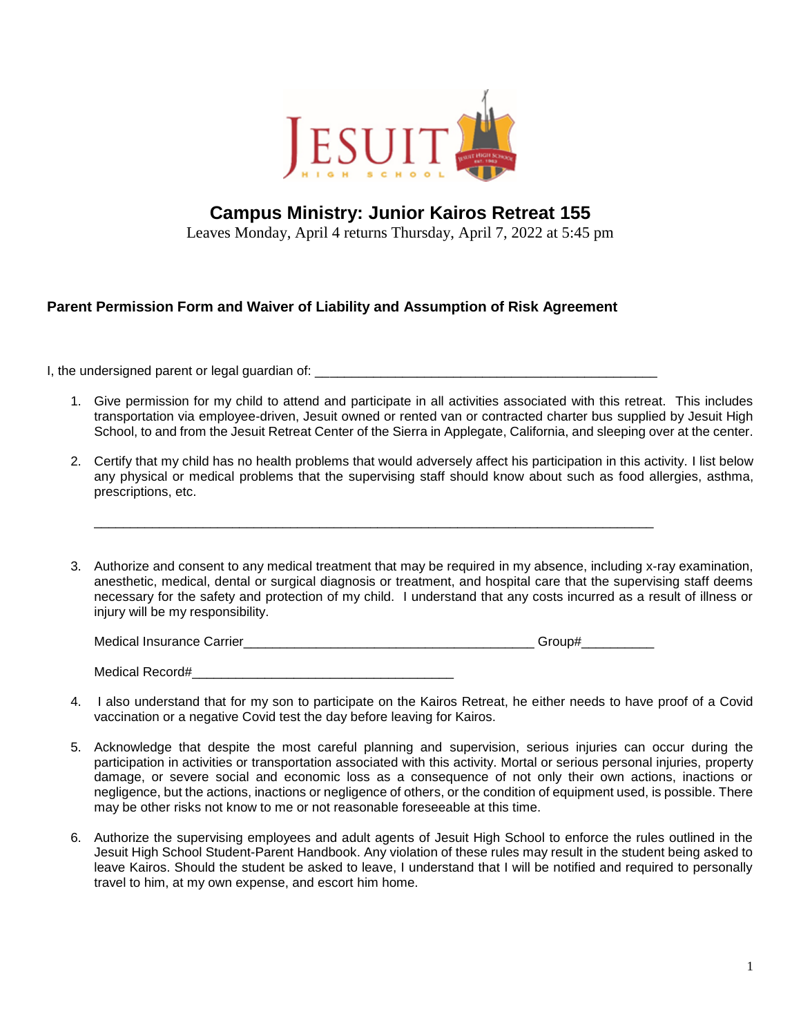

## **Campus Ministry: Junior Kairos Retreat 155**

Leaves Monday, April 4 returns Thursday, April 7, 2022 at 5:45 pm

## **Parent Permission Form and Waiver of Liability and Assumption of Risk Agreement**

I, the undersigned parent or legal guardian of:

- 1. Give permission for my child to attend and participate in all activities associated with this retreat. This includes transportation via employee-driven, Jesuit owned or rented van or contracted charter bus supplied by Jesuit High School, to and from the Jesuit Retreat Center of the Sierra in Applegate, California, and sleeping over at the center.
- 2. Certify that my child has no health problems that would adversely affect his participation in this activity. I list below any physical or medical problems that the supervising staff should know about such as food allergies, asthma, prescriptions, etc.
- 3. Authorize and consent to any medical treatment that may be required in my absence, including x-ray examination, anesthetic, medical, dental or surgical diagnosis or treatment, and hospital care that the supervising staff deems necessary for the safety and protection of my child. I understand that any costs incurred as a result of illness or injury will be my responsibility.

| <b>Medical Insurance Carrier</b> |  |
|----------------------------------|--|
|                                  |  |

\_\_\_\_\_\_\_\_\_\_\_\_\_\_\_\_\_\_\_\_\_\_\_\_\_\_\_\_\_\_\_\_\_\_\_\_\_\_\_\_\_\_\_\_\_\_\_\_\_\_\_\_\_\_\_\_\_\_\_\_\_\_\_\_\_\_\_\_\_\_\_\_\_\_\_\_\_

| Medical Record# |
|-----------------|
|-----------------|

- 4. I also understand that for my son to participate on the Kairos Retreat, he either needs to have proof of a Covid vaccination or a negative Covid test the day before leaving for Kairos.
- 5. Acknowledge that despite the most careful planning and supervision, serious injuries can occur during the participation in activities or transportation associated with this activity. Mortal or serious personal injuries, property damage, or severe social and economic loss as a consequence of not only their own actions, inactions or negligence, but the actions, inactions or negligence of others, or the condition of equipment used, is possible. There may be other risks not know to me or not reasonable foreseeable at this time.
- 6. Authorize the supervising employees and adult agents of Jesuit High School to enforce the rules outlined in the Jesuit High School Student-Parent Handbook. Any violation of these rules may result in the student being asked to leave Kairos. Should the student be asked to leave, I understand that I will be notified and required to personally travel to him, at my own expense, and escort him home.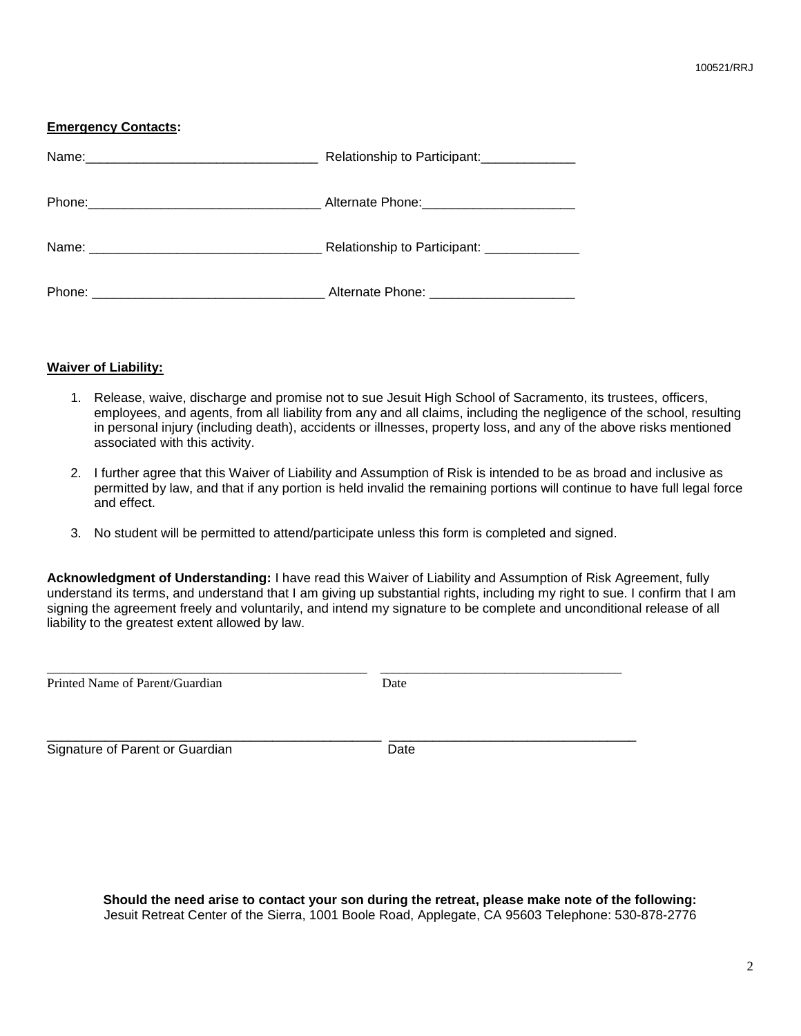## **Emergency Contacts:**

|                                                                                                                                | Relationship to Participant:                |
|--------------------------------------------------------------------------------------------------------------------------------|---------------------------------------------|
|                                                                                                                                |                                             |
|                                                                                                                                | Relationship to Participant: ______________ |
| Phone:<br><u> 1989 - Johann John Stein, marwolaeth a brenin a brenin a brenin a brenin a brenin a brenin a brenin a brenin</u> | Alternate Phone: _______________________    |

## **Waiver of Liability:**

- 1. Release, waive, discharge and promise not to sue Jesuit High School of Sacramento, its trustees, officers, employees, and agents, from all liability from any and all claims, including the negligence of the school, resulting in personal injury (including death), accidents or illnesses, property loss, and any of the above risks mentioned associated with this activity.
- 2. I further agree that this Waiver of Liability and Assumption of Risk is intended to be as broad and inclusive as permitted by law, and that if any portion is held invalid the remaining portions will continue to have full legal force and effect.
- 3. No student will be permitted to attend/participate unless this form is completed and signed.

\_\_\_\_\_\_\_\_\_\_\_\_\_\_\_\_\_\_\_\_\_\_\_\_\_\_\_\_\_\_\_\_\_\_\_\_\_\_\_\_\_\_\_\_\_\_\_\_\_ \_\_\_\_\_\_\_\_\_\_\_\_\_\_\_\_\_\_\_\_\_\_\_\_\_\_\_\_\_\_\_\_\_\_\_\_\_

\_\_\_\_\_\_\_\_\_\_\_\_\_\_\_\_\_\_\_\_\_\_\_\_\_\_\_\_\_\_\_\_\_\_\_\_\_\_\_\_\_\_\_\_\_\_ \_\_\_\_\_\_\_\_\_\_\_\_\_\_\_\_\_\_\_\_\_\_\_\_\_\_\_\_\_\_\_\_\_\_

**Acknowledgment of Understanding:** I have read this Waiver of Liability and Assumption of Risk Agreement, fully understand its terms, and understand that I am giving up substantial rights, including my right to sue. I confirm that I am signing the agreement freely and voluntarily, and intend my signature to be complete and unconditional release of all liability to the greatest extent allowed by law.

Printed Name of Parent/Guardian Date

Signature of Parent or Guardian Date

**Should the need arise to contact your son during the retreat, please make note of the following:** Jesuit Retreat Center of the Sierra, 1001 Boole Road, Applegate, CA 95603 Telephone: 530-878-2776